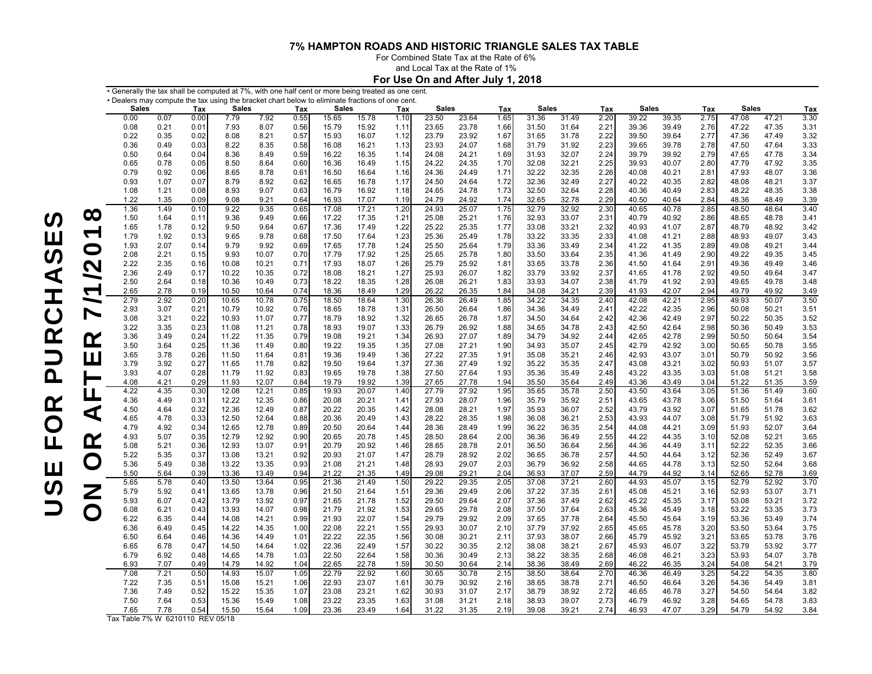For Combined State Tax at the Rate of 6% and Local Tax at the Rate of 1%

**For Use On and After July 1, 2018**

|                          | $\boldsymbol{\cdot}$ Generally the tax shall be computed at 7%, with one half cent or more being treated as one cent. |              |              |                |                |              |                |                |              |                |                |              |                |                |              |                |                |              |                |                |              |
|--------------------------|-----------------------------------------------------------------------------------------------------------------------|--------------|--------------|----------------|----------------|--------------|----------------|----------------|--------------|----------------|----------------|--------------|----------------|----------------|--------------|----------------|----------------|--------------|----------------|----------------|--------------|
|                          | • Dealers may compute the tax using the bracket chart below to eliminate fractions of one cent.                       |              |              |                |                |              |                |                |              |                |                |              |                |                |              |                |                |              |                |                |              |
|                          | <b>Sales</b>                                                                                                          |              | Tax          | <b>Sales</b>   |                | Tax          | <b>Sales</b>   |                | Tax          | <b>Sales</b>   |                | Tax          | <b>Sales</b>   |                | Tax          | <b>Sales</b>   |                | Tax          | <b>Sales</b>   |                | Tax          |
|                          | 0.00                                                                                                                  | 0.07         | 0.00         | 7.79           | 7.92           | 0.55         | 15.65          | 15.78          | 1.10         | 23.50          | 23.64          | 1.65         | 31.36          | 31.49          | 2.20         | 39.22          | 39.35          | 2.75         | 47.08          | 47.21          | 3.30         |
|                          | 0.08                                                                                                                  | 0.21         | 0.01         | 7.93           | 8.07           | 0.56         | 15.79          | 15.92          | 1.11         | 23.65          | 23.78          | 1.66         | 31.50          | 31.64          | 2.21         | 39.36          | 39.49          | 2.76         | 47.22          | 47.35          | 3.31         |
|                          | 0.22                                                                                                                  | 0.35         | 0.02         | 8.08           | 8.21           | 0.57         | 15.93          | 16.07          | 1.12         | 23.79          | 23.92          | 1.67         | 31.65          | 31.78          | 2.22         | 39.50          | 39.64          | 2.77         | 47.36          | 47.49          | 3.32         |
|                          | 0.36                                                                                                                  | 0.49         | 0.03         | 8.22           | 8.35           | 0.58         | 16.08          | 16.21          | 1.13         | 23.93          | 24.07          | 1.68         | 31.79          | 31.92          | 2.23         | 39.65          | 39.78          | 2.78         | 47.50          | 47.64          | 3.33         |
|                          | 0.50                                                                                                                  | 0.64         | 0.04         | 8.36           | 8.49           | 0.59         | 16.22          | 16.35          | 1.14         | 24.08          | 24.21          | 1.69         | 31.93          | 32.07          | 2.24         | 39.79          | 39.92          | 2.79         | 47.65          | 47.78          | 3.34         |
|                          | 0.65                                                                                                                  | 0.78         | 0.05         | 8.50           | 8.64           | 0.60         | 16.36          | 16.49          | 1.15         | 24.22          | 24.35          | 1.70         | 32.08          | 32.21          | 2.25         | 39.93          | 40.07          | 2.80         | 47.79          | 47.92          | 3.35         |
|                          | 0.79                                                                                                                  | 0.92         | 0.06         | 8.65           | 8.78           | 0.61         | 16.50          | 16.64          | 1.16         | 24.36          | 24.49          | 1.71         | 32.22          | 32.35          | 2.26         | 40.08          | 40.21          | 2.81         | 47.93          | 48.07          | 3.36         |
|                          | 0.93                                                                                                                  | 1.07         | 0.07         | 8.79           | 8.92           | 0.62         | 16.65          | 16.78          | 1.17         | 24.50          | 24.64          | 1.72         | 32.36          | 32.49          | 2.27         | 40.22          | 40.35          | 2.82         | 48.08          | 48.21          | 3.37         |
|                          | 1.08                                                                                                                  | 1.21         | 0.08         | 8.93           | 9.07           | 0.63         | 16.79          | 16.92          | 1.18         | 24.65          | 24.78          | 1.73         | 32.50          | 32.64          | 2.28         | 40.36          | 40.49          | 2.83         | 48.22          | 48.35          | 3.38         |
|                          | 1.22                                                                                                                  | 1.35         | 0.09         | 9.08           | 9.21           | 0.64         | 16.93          | 17.07          | 1.19         | 24.79          | 24.92          | 1.74         | 32.65          | 32.78          | 2.29         | 40.50          | 40.64          | 2.84         | 48.36          | 48.49          | 3.39         |
|                          | 1.36                                                                                                                  | 1.49         | 0.10         | 9.22           | 9.35           | 0.65         | 17.08          | 17.21          | 1.20         | 24.93          | 25.07          | 1.75         | 32.79          | 32.92          | 2.30         | 40.65          | 40.78          | 2.85         | 48.50          | 48.64          | 3.40         |
| $\infty$                 | 1.50                                                                                                                  | 1.64         | 0.11         | 9.36           | 9.49           | 0.66         | 17.22          | 17.35          | 1.21         | 25.08          | 25.21          | 1.76         | 32.93          | 33.07          | 2.31         | 40.79          | 40.92          | 2.86         | 48.65          | 48.78          | 3.41         |
|                          | 1.65                                                                                                                  | 1.78         | 0.12         | 9.50           | 9.64           | 0.67         | 17.36          | 17.49          | 1.22         | 25.22          | 25.35          | 1.77         | 33.08          | 33.21          | 2.32         | 40.93          | 41.07          | 2.87         | 48.79          | 48.92          | 3.42         |
| $\sqrt{2}$               | 1.79                                                                                                                  | 1.92         | 0.13         | 9.65           | 9.78           | 0.68         | 17.50          | 17.64          | 1.23         | 25.36          | 25.49          | 1.78         | 33.22          | 33.35          | 2.33         | 41.08          | 41.21          | 2.88         | 48.93          | 49.07          | 3.43         |
|                          | 1.93                                                                                                                  | 2.07         | 0.14         | 9.79           | 9.92           | 0.69         | 17.65          | 17.78          | 1.24         | 25.50          | 25.64          | 1.79         | 33.36          | 33.49          | 2.34         | 41.22          | 41.35          | 2.89         | 49.08          | 49.21          | 3.44         |
| $\bigcirc$               | 2.08                                                                                                                  | 2.21         | 0.15         | 9.93           | 10.07          | 0.70         | 17.79          | 17.92          | 1.25         | 25.65          | 25.78          | 1.80         | 33.50          | 33.64          | 2.35         | 41.36          | 41.49          | 2.90         | 49.22          | 49.35          | 3.45         |
| $\mathbf{\Omega}$        | 2.22                                                                                                                  | 2.35         | 0.16         | 10.08          | 10.21          | 0.71         | 17.93          | 18.07          | 1.26         | 25.79          | 25.92          | 1.81         | 33.65          | 33.78          | 2.36         | 41.50          | 41.64          | 2.91         | 49.36          | 49.49          | 3.46         |
|                          | 2.36                                                                                                                  | 2.49         | 0.17         | 10.22          | 10.35          | 0.72         | 18.08          | 18.21          | 1.27         | 25.93          | 26.07          | 1.82         | 33.79          | 33.92          | 2.37         | 41.65          | 41.78          | 2.92         | 49.50          | 49.64          | 3.47         |
|                          | 2.50                                                                                                                  | 2.64         | 0.18         | 10.36          | 10.49          | 0.73         | 18.22          | 18.35          | 1.28         | 26.08          | 26.21          | 1.83         | 33.93          | 34.07          | 2.38         | 41.79          | 41.92          | 2.93         | 49.65          | 49.78          | 3.48         |
| $\sqrt{ }$               | 2.65                                                                                                                  | 2.78         | 0.19         | 10.50          | 10.64          | 0.74         | 18.36          | 18.49          | 1.29         | 26.22          | 26.35          | 1.84         | 34.08          | 34.21          | 2.39         | 41.93          | 42.07          | 2.94         | 49.79          | 49.92          | 3.49         |
| $\overline{\phantom{0}}$ | 2.79                                                                                                                  | 2.92         | 0.20         | 10.65          | 10.78          | 0.75         | 18.50          | 18.64          | 1.30         | 26.36          | 26.49          | 1.85         | 34.22          | 34.35          | 2.40         | 42.08          | 42.21          | 2.95         | 49.93          | 50.07          | 3.50         |
|                          | 2.93                                                                                                                  | 3.07         | 0.21         | 10.79          | 10.92          | 0.76         | 18.65          | 18.78          | 1.31         | 26.50          | 26.64          | 1.86         | 34.36          | 34.49          | 2.41         | 42.22          | 42.35          | 2.96         | 50.08          | 50.21          | 3.51         |
| $\overline{\phantom{a}}$ | 3.08                                                                                                                  | 3.21         | 0.22         | 10.93          | 11.07          | 0.77         | 18.79          | 18.92          | 1.32         | 26.65          | 26.78          | 1.87         | 34.50          | 34.64          | 2.42         | 42.36          | 42.49          | 2.97         | 50.22          | 50.35          | 3.52         |
|                          | 3.22                                                                                                                  | 3.35         | 0.23         | 11.08          | 11.21          | 0.78         | 18.93          | 19.07          | 1.33         | 26.79          | 26.92          | 1.88         | 34.65          | 34.78          | 2.43         | 42.50          | 42.64          | 2.98         | 50.36          | 50.49          | 3.53         |
|                          | 3.36                                                                                                                  | 3.49         | 0.24         | 11.22          | 11.35          | 0.79         | 19.08          | 19.21          | 1.34         | 26.93          | 27.07          | 1.89         | 34.79          | 34.92          | 2.44         | 42.65          | 42.78          | 2.99         | 50.50          | 50.64          | 3.54         |
| $\alpha$                 | 3.50                                                                                                                  | 3.64         | 0.25         | 11.36          | 11.49          | 0.80         | 19.22          | 19.35          | 1.35         | 27.08          | 27.21          | 1.90         | 34.93          | 35.07          | 2.45         | 42.79          | 42.92          | 3.00         | 50.65          | 50.78          | 3.55         |
|                          | 3.65                                                                                                                  | 3.78         | 0.26         | 11.50          | 11.64          | 0.81         | 19.36          | 19.49          | 1.36         | 27.22          | 27.35          | 1.91         | 35.08          | 35.21          | 2.46         | 42.93          | 43.07          | 3.01         | 50.79          | 50.92          | 3.56         |
| ш                        | 3.79                                                                                                                  | 3.92         | 0.27         | 11.65          | 11.78          | 0.82         | 19.50          | 19.64          | 1.37         | 27.36          | 27.49          | 1.92         | 35.22          | 35.35          | 2.47         | 43.08          | 43.21          | 3.02         | 50.93          | 51.07          | 3.57         |
|                          | 3.93                                                                                                                  | 4.07         | 0.28         | 11.79          | 11.92          | 0.83         | 19.65          | 19.78          | 1.38         | 27.50          | 27.64          | 1.93         | 35.36          | 35.49          | 2.48         | 43.22          | 43.35          | 3.03         | 51.08          | 51.21          | 3.58         |
|                          | 4.08                                                                                                                  | 4.21         | 0.29         | 11.93          | 12.07          | 0.84         | 19.79          | 19.92          | 1.39         | 27.65          | 27.78          | 1.94         | 35.50          | 35.64          | 2.49         | 43.36          | 43.49          | 3.04         | 51.22          | 51.35          | 3.59         |
|                          | 4.22                                                                                                                  | 4.35         | 0.30         | 12.08          | 12.21          | 0.85         | 19.93          | 20.07          | 1.40         | 27.79          | 27.92          | 1.95         | 35.65          | 35.78          | 2.50         | 43.50          | 43.64          | 3.05         | 51.36          | 51.49          | 3.60         |
|                          | 4.36                                                                                                                  | 4.49         | 0.31         | 12.22          | 12.35          | 0.86         | 20.08          | 20.21          | 1.41         | 27.93          | 28.07          | 1.96         | 35.79          | 35.92          | 2.51         | 43.65          | 43.78          | 3.06         | 51.50          | 51.64          | 3.61         |
|                          | 4.50                                                                                                                  | 4.64         | 0.32         | 12.36          | 12.49          | 0.87         | 20.22          | 20.35          | 1.42         | 28.08          | 28.21          | 1.97         | 35.93          | 36.07          | 2.52         | 43.79          | 43.92          | 3.07         | 51.65          | 51.78          | 3.62         |
| $\blacktriangleleft$     | 4.65                                                                                                                  | 4.78         | 0.33         | 12.50          | 12.64          | 0.88         | 20.36          | 20.49          | 1.43         | 28.22          | 28.35          | 1.98         | 36.08          | 36.21          | 2.53         | 43.93          | 44.07          | 3.08         | 51.79          | 51.92          | 3.63         |
|                          | 4.79                                                                                                                  | 4.92         | 0.34         | 12.65          | 12.78          | 0.89         | 20.50          | 20.64          | 1.44         | 28.36          | 28.49          | 1.99         | 36.22          | 36.35          | 2.54         | 44.08          | 44.21          | 3.09         | 51.93          | 52.07          | 3.64         |
|                          | 4.93                                                                                                                  | 5.07         | 0.35         | 12.79          | 12.92          | 0.90         | 20.65          | 20.78          | 1.45         | 28.50          | 28.64          | 2.00         | 36.36          | 36.49          | 2.55         | 44.22          | 44.35          | 3.10         | 52.08          | 52.21          | 3.65         |
| <u>ନ</u>                 | 5.08                                                                                                                  | 5.21         | 0.36         | 12.93          | 13.07          | 0.91         | 20.79          | 20.92          | 1.46         | 28.65          | 28.78          | 2.01         | 36.50          | 36.64          | 2.56         | 44.36          | 44.49          | 3.11         | 52.22          | 52.35          | 3.66         |
|                          | 5.22                                                                                                                  | 5.35         | 0.37         | 13.08          | 13.21          | 0.92         | 20.93          | 21.07          | 1.47         | 28.79          | 28.92          | 2.02         | 36.65          | 36.78          | 2.57         | 44.50          | 44.64          | 3.12         | 52.36          | 52.49          | 3.67         |
| $\bigcirc$               | 5.36                                                                                                                  | 5.49         | 0.38         | 13.22          | 13.35          | 0.93         | 21.08          | 21.21          | 1.48         | 28.93          | 29.07          | 2.03         | 36.79          | 36.92          | 2.58         | 44.65          | 44.78          | 3.13         | 52.50          | 52.64          | 3.68         |
|                          | 5.50                                                                                                                  | 5.64         | 0.39         | 13.36          | 13.49          | 0.94         | 21.22          | 21.35          | 1.49         | 29.08          | 29.21          | 2.04         | 36.93          | 37.07          | 2.59         | 44.79          | 44.92          | 3.14         | 52.65          | 52.78          | 3.69         |
|                          | 5.65                                                                                                                  | 5.78         | 0.40         | 13.50          | 13.64          | 0.95         | 21.36          | 21.49          | 1.50         | 29.22          | 29.35          | 2.05         | 37.08          | 37.21          | 2.60         | 44.93          | 45.07          | 3.15         | 52.79          | 52.92          | 3.70         |
| $\overline{Z}$           | 5.79                                                                                                                  | 5.92         | 0.41         | 13.65          | 13.78          | 0.96         | 21.50          | 21.64          | 1.51         | 29.36          | 29.49          | 2.06         | 37.22          | 37.35          | 2.61         | 45.08          | 45.21          | 3.16         | 52.93          | 53.07          | 3.71         |
|                          | 5.93                                                                                                                  | 6.07         | 0.42         | 13.79          | 13.92          | 0.97         | 21.65          | 21.78          | 1.52         | 29.50          | 29.64          | 2.07         | 37.36          | 37.49          | 2.62         | 45.22          | 45.35          | 3.17         | 53.08          | 53.21          | 3.72         |
|                          | 6.08                                                                                                                  | 6.21         | 0.43         | 13.93          | 14.07          | 0.98         | 21.79          | 21.92          | 1.53         | 29.65          | 29.78          | 2.08         | 37.50          | 37.64          | 2.63         | 45.36          | 45.49          | 3.18         | 53.22          | 53.35          | 3.73         |
| $\bigcirc$               | 6.22                                                                                                                  | 6.35         | 0.44         | 14.08          | 14.21          | 0.99         | 21.93          | 22.07          | 1.54         | 29.79          | 29.92          | 2.09         | 37.65          | 37.78          | 2.64         | 45.50          | 45.64          | 3.19         | 53.36          | 53.49          | 3.74         |
|                          | 6.36                                                                                                                  | 6.49         | 0.45         | 14.22          | 14.35          | 1.00         | 22.08          | 22.21          | 1.55         | 29.93          | 30.07          | 2.10         | 37.79          | 37.92          | 2.65         | 45.65          | 45.78          | 3.20         | 53.50          | 53.64          | 3.75         |
|                          |                                                                                                                       |              |              |                |                |              |                |                |              |                |                |              |                |                |              |                |                |              |                |                |              |
|                          | 6.50<br>6.65                                                                                                          | 6.64<br>6.78 | 0.46<br>0.47 | 14.36<br>14.50 | 14.49<br>14.64 | 1.01<br>1.02 | 22.22<br>22.36 | 22.35<br>22.49 | 1.56<br>1.57 | 30.08<br>30.22 | 30.21<br>30.35 | 2.11<br>2.12 | 37.93<br>38.08 | 38.07<br>38.21 | 2.66<br>2.67 | 45.79<br>45.93 | 45.92<br>46.07 | 3.21<br>3.22 | 53.65<br>53.79 | 53.78<br>53.92 | 3.76<br>3.77 |
|                          |                                                                                                                       |              |              |                |                |              |                |                |              |                |                |              |                |                |              |                |                |              |                |                |              |
|                          | 6.79                                                                                                                  | 6.92         | 0.48         | 14.65          | 14.78          | 1.03         | 22.50          | 22.64          | 1.58         | 30.36          | 30.49          | 2.13         | 38.22          | 38.35          | 2.68         | 46.08          | 46.21          | 3.23         | 53.93          | 54.07          | 3.78         |
|                          | 6.93                                                                                                                  | 7.07         | 0.49<br>0.50 | 14.79<br>14.93 | 14.92          | 1.04<br>1.05 | 22.65<br>22.79 | 22.78<br>22.92 | 1.59         | 30.50          | 30.64          | 2.14         | 38.36<br>38.50 | 38.49          | 2.69<br>2.70 | 46.22          | 46.35          | 3.24         | 54.08<br>54.22 | 54.21<br>54.35 | 3.79<br>3.80 |
|                          | 7.08                                                                                                                  | 7.21         |              |                | 15.07          |              |                |                | 1.60         | 30.65          | 30.78          | 2.15         |                | 38.64          |              | 46.36          | 46.49          | 3.25         |                |                |              |
|                          | 7.22                                                                                                                  | 7.35         | 0.51         | 15.08          | 15.21          | 1.06         | 22.93          | 23.07          | 1.61         | 30.79          | 30.92          | 2.16         | 38.65          | 38.78          | 2.71         | 46.50          | 46.64          | 3.26         | 54.36          | 54.49          | 3.81         |
|                          | 7.36                                                                                                                  | 7.49         | 0.52         | 15.22          | 15.35          | 1.07         | 23.08          | 23.21          | 1.62         | 30.93          | 31.07          | 2.17         | 38.79          | 38.92          | 2.72         | 46.65          | 46.78          | 3.27         | 54.50          | 54.64          | 3.82         |
|                          | 7.50                                                                                                                  | 7.64         | 0.53         | 15.36          | 15.49          | 1.08         | 23.22          | 23.35          | 1.63         | 31.08          | 31.21          | 2.18         | 38.93          | 39.07          | 2.73         | 46.79          | 46.92          | 3.28         | 54.65          | 54.78          | 3.83         |
|                          | 7.65                                                                                                                  | 7.78         | 0.54         | 15.50          | 15.64          | 1.09         | 23.36          | 23.49          | 1.64         | 31.22          | 31.35          | 2.19         | 39.08          | 39.21          | 2.74         | 46.93          | 47.07          | 3.29         | 54.79          | 54.92          | 3.84         |

Tax Table 7% W 6210110 REV 05/18

USE FOR PURCHASES

USE FOR PURCHASES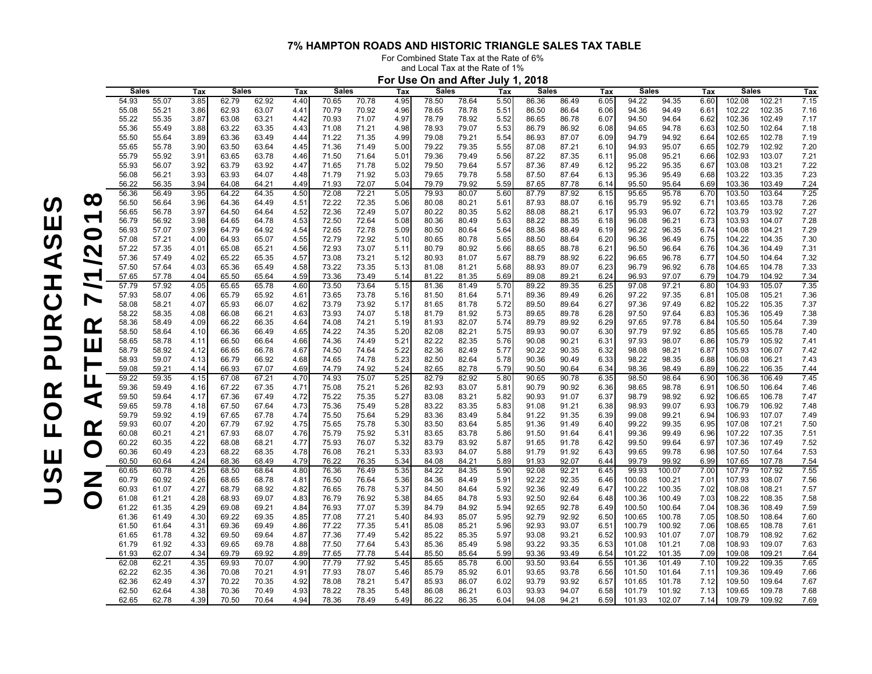For Combined State Tax at the Rate of 6%

and Local Tax at the Rate of 1%

|                          | For Use On and After July 1, 2018 |                |              |                |                |              |                |                |              |                |                |              |                |                |              |                  |                  |              |                  |                  |              |
|--------------------------|-----------------------------------|----------------|--------------|----------------|----------------|--------------|----------------|----------------|--------------|----------------|----------------|--------------|----------------|----------------|--------------|------------------|------------------|--------------|------------------|------------------|--------------|
|                          | <b>Sales</b>                      |                | Tax          | <b>Sales</b>   |                | Tax          | <b>Sales</b>   |                | Tax          | <b>Sales</b>   |                | Tax          | <b>Sales</b>   |                | Tax          | Sales            |                  | Tax          | <b>Sales</b>     |                  | Tax          |
|                          | 54.93                             | 55.07          | 3.85         | 62.79          | 62.92          | 4.40         | 70.65          | 70.78          | 4.95         | 78.50          | 78.64          | 5.50         | 86.36          | 86.49          | 6.05         | 94.22            | 94.35            | 6.60         | 102.08           | 102.21           | 7.15         |
|                          | 55.08                             | 55.21          | 3.86         | 62.93          | 63.07          | 4.41         | 70.79          | 70.92          | 4.96         | 78.65          | 78.78          | 5.51         | 86.50          | 86.64          | 6.06         | 94.36            | 94.49            | 6.61         | 102.22           | 102.35           | 7.16         |
|                          | 55.22                             | 55.35          | 3.87         | 63.08          | 63.21          | 4.42         | 70.93          | 71.07          | 4.97         | 78.79          | 78.92          | 5.52         | 86.65          | 86.78          | 6.07         | 94.50            | 94.64            | 6.62         | 102.36           | 102.49           | 7.17         |
|                          | 55.36                             | 55.49          | 3.88         | 63.22          | 63.35          | 4.43         | 71.08          | 71.21          | 4.98         | 78.93          | 79.07          | 5.53         | 86.79          | 86.92          | 6.08         | 94.65            | 94.78            | 6.63         | 102.50           | 102.64           | 7.18         |
|                          | 55.50                             | 55.64          | 3.89         | 63.36          | 63.49          | 4.44         | 71.22          | 71.35          | 4.99         | 79.08          | 79.21          | 5.54         | 86.93          | 87.07          | 6.09         | 94.79            | 94.92            | 6.64         | 102.65           | 102.78           | 7.19         |
|                          | 55.65                             | 55.78          | 3.90         | 63.50          | 63.64          | 4.45         | 71.36          | 71.49          | 5.00         | 79.22          | 79.35          | 5.55         | 87.08          | 87.21          | 6.10         | 94.93            | 95.07            | 6.65         | 102.79           | 102.92           | 7.20         |
|                          | 55.79                             | 55.92          | 3.91         | 63.65          | 63.78          | 4.46         | 71.50          | 71.64          | 5.01         | 79.36          | 79.49          | 5.56         | 87.22          | 87.35          | 6.11         | 95.08            | 95.21            | 6.66         | 102.93           | 103.07           | 7.21         |
|                          | 55.93<br>56.08                    | 56.07<br>56.21 | 3.92<br>3.93 | 63.79<br>63.93 | 63.92<br>64.07 | 4.47<br>4.48 | 71.65<br>71.79 | 71.78<br>71.92 | 5.02<br>5.03 | 79.50<br>79.65 | 79.64<br>79.78 | 5.57<br>5.58 | 87.36<br>87.50 | 87.49<br>87.64 | 6.12<br>6.13 | 95.22<br>95.36   | 95.35<br>95.49   | 6.67<br>6.68 | 103.08<br>103.22 | 103.21<br>103.35 | 7.22<br>7.23 |
|                          | 56.22                             | 56.35          | 3.94         | 64.08          | 64.21          | 4.49         | 71.93          | 72.07          | 5.04         | 79.79          | 79.92          | 5.59         | 87.65          | 87.78          | 6.14         | 95.50            | 95.64            | 6.69         | 103.36           | 103.49           | 7.24         |
|                          | 56.36                             | 56.49          | 3.95         | 64.22          | 64.35          | 4.50         | 72.08          | 72.21          | 5.05         | 79.93          | 80.07          | 5.60         | 87.79          | 87.92          | 6.15         | 95.65            | 95.78            | 6.70         | 103.50           | 103.64           | 7.25         |
| $\infty$                 | 56.50                             | 56.64          | 3.96         | 64.36          | 64.49          | 4.51         | 72.22          | 72.35          | 5.06         | 80.08          | 80.21          | 5.61         | 87.93          | 88.07          | 6.16         | 95.79            | 95.92            | 6.71         | 103.65           | 103.78           | 7.26         |
|                          | 56.65                             | 56.78          | 3.97         | 64.50          | 64.64          | 4.52         | 72.36          | 72.49          | 5.07         | 80.22          | 80.35          | 5.62         | 88.08          | 88.21          | 6.17         | 95.93            | 96.07            | 6.72         | 103.79           | 103.92           | 7.27         |
| $\sqrt{ }$               | 56.79                             | 56.92          | 3.98         | 64.65          | 64.78          | 4.53         | 72.50          | 72.64          | 5.08         | 80.36          | 80.49          | 5.63         | 88.22          | 88.35          | 6.18         | 96.08            | 96.21            | 6.73         | 103.93           | 104.07           | 7.28         |
|                          | 56.93                             | 57.07          | 3.99         | 64.79          | 64.92          | 4.54         | 72.65          | 72.78          | 5.09         | 80.50          | 80.64          | 5.64         | 88.36          | 88.49          | 6.19         | 96.22            | 96.35            | 6.74         | 104.08           | 104.21           | 7.29         |
| $\bigcirc$               | 57.08                             | 57.21          | 4.00         | 64.93          | 65.07          | 4.55         | 72.79          | 72.92          | 5.10         | 80.65          | 80.78          | 5.65         | 88.50          | 88.64          | 6.20         | 96.36            | 96.49            | 6.75         | 104.22           | 104.35           | 7.30         |
| $\mathcal{C}$            | 57.22                             | 57.35          | 4.01         | 65.08          | 65.21          | 4.56         | 72.93          | 73.07          | 5.11         | 80.79          | 80.92          | 5.66         | 88.65          | 88.78          | 6.21         | 96.50            | 96.64            | 6.76         | 104.36           | 104.49           | 7.31         |
|                          | 57.36                             | 57.49          | 4.02         | 65.22          | 65.35          | 4.57         | 73.08          | 73.21          | 5.12         | 80.93          | 81.07          | 5.67         | 88.79          | 88.92          | 6.22         | 96.65            | 96.78            | 6.77         | 104.50           | 104.64           | 7.32         |
|                          | 57.50                             | 57.64          | 4.03         | 65.36          | 65.49          | 4.58         | 73.22          | 73.35          | 5.13         | 81.08          | 81.21          | 5.68         | 88.93          | 89.07          | 6.23         | 96.79            | 96.92            | 6.78         | 104.65           | 104.78           | 7.33         |
| $\sqrt{2}$               | 57.65                             | 57.78          | 4.04         | 65.50          | 65.64          | 4.59         | 73.36          | 73.49          | 5.14         | 81.22          | 81.35          | 5.69         | 89.08          | 89.21          | 6.24         | 96.93            | 97.07            | 6.79         | 104.79           | 104.92           | 7.34         |
|                          | 57.79                             | 57.92          | 4.05         | 65.65          | 65.78          | 4.60         | 73.50          | 73.64          | 5.15         | 81.36          | 81.49          | 5.70         | 89.22          | 89.35          | 6.25         | 97.08            | 97.21            | 6.80         | 104.93           | 105.07           | 7.35         |
| $\overline{\phantom{0}}$ | 57.93                             | 58.07          | 4.06         | 65.79          | 65.92          | 4.61         | 73.65          | 73.78          | 5.16         | 81.50          | 81.64          | 5.71         | 89.36          | 89.49          | 6.26         | 97.22            | 97.35            | 6.81         | 105.08           | 105.21           | 7.36         |
|                          | 58.08                             | 58.21          | 4.07         | 65.93          | 66.07          | 4.62         | 73.79          | 73.92          | 5.17         | 81.65          | 81.78          | 5.72         | 89.50          | 89.64          | 6.27         | 97.36            | 97.49            | 6.82         | 105.22           | 105.35           | 7.37         |
|                          | 58.22                             | 58.35          | 4.08         | 66.08          | 66.21          | 4.63         | 73.93          | 74.07          | 5.18         | 81.79          | 81.92          | 5.73         | 89.65          | 89.78          | 6.28         | 97.50            | 97.64            | 6.83         | 105.36           | 105.49           | 7.38         |
| <u>Ƙ</u>                 | 58.36                             | 58.49          | 4.09         | 66.22          | 66.35          | 4.64         | 74.08          | 74.21          | 5.19         | 81.93          | 82.07          | 5.74         | 89.79          | 89.92          | 6.29         | 97.65            | 97.78            | 6.84         | 105.50           | 105.64           | 7.39         |
|                          | 58.50                             | 58.64          | 4.10         | 66.36          | 66.49          | 4.65         | 74.22          | 74.35          | 5.20         | 82.08          | 82.21          | 5.75         | 89.93          | 90.07          | 6.30         | 97.79            | 97.92            | 6.85         | 105.65           | 105.78           | 7.40         |
| $\Box$                   | 58.65                             | 58.78          | 4.11         | 66.50          | 66.64          | 4.66         | 74.36          | 74.49          | 5.21         | 82.22          | 82.35          | 5.76         | 90.08          | 90.21          | 6.31         | 97.93            | 98.07            | 6.86         | 105.79           | 105.92           | 7.41         |
|                          | 58.79<br>58.93                    | 58.92<br>59.07 | 4.12         | 66.65<br>66.79 | 66.78<br>66.92 | 4.67<br>4.68 | 74.50          | 74.64<br>74.78 | 5.22<br>5.23 | 82.36<br>82.50 | 82.49<br>82.64 | 5.77         | 90.22          | 90.35<br>90.49 | 6.32<br>6.33 | 98.08<br>98.22   | 98.21<br>98.35   | 6.87         | 105.93           | 106.07<br>106.21 | 7.42<br>7.43 |
|                          | 59.08                             | 59.21          | 4.13<br>4.14 | 66.93          | 67.07          | 4.69         | 74.65<br>74.79 | 74.92          | 5.24         | 82.65          | 82.78          | 5.78<br>5.79 | 90.36<br>90.50 | 90.64          | 6.34         | 98.36            | 98.49            | 6.88<br>6.89 | 106.08<br>106.22 | 106.35           | 7.44         |
|                          | 59.22                             | 59.35          | 4.15         | 67.08          | 67.21          | 4.70         | 74.93          | 75.07          | 5.25         | 82.79          | 82.92          | 5.80         | 90.65          | 90.78          | 6.35         | 98.50            | 98.64            | 6.90         | 106.36           | 106.49           | 7.45         |
|                          | 59.36                             | 59.49          | 4.16         | 67.22          | 67.35          | 4.71         | 75.08          | 75.21          | 5.26         | 82.93          | 83.07          | 5.81         | 90.79          | 90.92          | 6.36         | 98.65            | 98.78            | 6.91         | 106.50           | 106.64           | 7.46         |
|                          | 59.50                             | 59.64          | 4.17         | 67.36          | 67.49          | 4.72         | 75.22          | 75.35          | 5.27         | 83.08          | 83.21          | 5.82         | 90.93          | 91.07          | 6.37         | 98.79            | 98.92            | 6.92         | 106.65           | 106.78           | 7.47         |
| ◁                        | 59.65                             | 59.78          | 4.18         | 67.50          | 67.64          | 4.73         | 75.36          | 75.49          | 5.28         | 83.22          | 83.35          | 5.83         | 91.08          | 91.21          | 6.38         | 98.93            | 99.07            | 6.93         | 106.79           | 106.92           | 7.48         |
|                          | 59.79                             | 59.92          | 4.19         | 67.65          | 67.78          | 4.74         | 75.50          | 75.64          | 5.29         | 83.36          | 83.49          | 5.84         | 91.22          | 91.35          | 6.39         | 99.08            | 99.21            | 6.94         | 106.93           | 107.07           | 7.49         |
|                          | 59.93                             | 60.07          | 4.20         | 67.79          | 67.92          | 4.75         | 75.65          | 75.78          | 5.30         | 83.50          | 83.64          | 5.85         | 91.36          | 91.49          | 6.40         | 99.22            | 99.35            | 6.95         | 107.08           | 107.21           | 7.50         |
| <u>Ƙ</u>                 | 60.08                             | 60.21          | 4.21         | 67.93          | 68.07          | 4.76         | 75.79          | 75.92          | 5.31         | 83.65          | 83.78          | 5.86         | 91.50          | 91.64          | 6.41         | 99.36            | 99.49            | 6.96         | 107.22           | 107.35           | 7.51         |
|                          | 60.22                             | 60.35          | 4.22         | 68.08          | 68.21          | 4.77         | 75.93          | 76.07          | 5.32         | 83.79          | 83.92          | 5.87         | 91.65          | 91.78          | 6.42         | 99.50            | 99.64            | 6.97         | 107.36           | 107.49           | 7.52         |
| $\bigcirc$               | 60.36                             | 60.49          | 4.23         | 68.22          | 68.35          | 4.78         | 76.08          | 76.21          | 5.33         | 83.93          | 84.07          | 5.88         | 91.79          | 91.92          | 6.43         | 99.65            | 99.78            | 6.98         | 107.50           | 107.64           | 7.53         |
|                          | 60.50                             | 60.64          | 4.24         | 68.36          | 68.49          | 4.79         | 76.22          | 76.35          | 5.34         | 84.08          | 84.21          | 5.89         | 91.93          | 92.07          | 6.44         | 99.79            | 99.92            | 6.99         | 107.65           | 107.78           | 7.54         |
|                          | 60.65                             | 60.78          | 4.25         | 68.50          | 68.64          | 4.80         | 76.36          | 76.49          | 5.35         | 84.22          | 84.35          | 5.90         | 92.08          | 92.21          | 6.45         | 99.93            | 100.07           | 7.00         | 107.79           | 107.92           | 7.55         |
| $\overline{Z}$           | 60.79                             | 60.92          | 4.26         | 68.65          | 68.78          | 4.81         | 76.50          | 76.64          | 5.36         | 84.36          | 84.49          | 5.91         | 92.22          | 92.35          | 6.46         | 100.08           | 100.21           | 7.01         | 107.93           | 108.07           | 7.56         |
|                          | 60.93                             | 61.07          | 4.27         | 68.79          | 68.92          | 4.82         | 76.65          | 76.78          | 5.37         | 84.50          | 84.64          | 5.92         | 92.36          | 92.49          | 6.47         | 100.22           | 100.35           | 7.02         | 108.08           | 108.21           | 7.57         |
| $\Box$                   | 61.08                             | 61.21          | 4.28         | 68.93          | 69.07          | 4.83         | 76.79          | 76.92          | 5.38         | 84.65          | 84.78          | 5.93         | 92.50          | 92.64          | 6.48         | 100.36           | 100.49           | 7.03         | 108.22           | 108.35           | 7.58         |
|                          | 61.22<br>61.36                    | 61.35<br>61.49 | 4.29<br>4.30 | 69.08<br>69.22 | 69.21<br>69.35 | 4.84<br>4.85 | 76.93<br>77.08 | 77.07<br>77.21 | 5.39<br>5.40 | 84.79<br>84.93 | 84.92<br>85.07 | 5.94<br>5.95 | 92.65<br>92.79 | 92.78<br>92.92 | 6.49<br>6.50 | 100.50<br>100.65 | 100.64<br>100.78 | 7.04<br>7.05 | 108.36<br>108.50 | 108.49<br>108.64 | 7.59<br>7.60 |
|                          | 61.50                             | 61.64          | 4.31         | 69.36          | 69.49          | 4.86         | 77.22          | 77.35          | 5.41         | 85.08          | 85.21          | 5.96         | 92.93          | 93.07          | 6.51         | 100.79           | 100.92           | 7.06         | 108.65           | 108.78           | 7.61         |
|                          | 61.65                             | 61.78          | 4.32         | 69.50          | 69.64          | 4.87         | 77.36          | 77.49          | 5.42         | 85.22          | 85.35          | 5.97         | 93.08          | 93.21          | 6.52         | 100.93           | 101.07           | 7.07         | 108.79           | 108.92           | 7.62         |
|                          | 61.79                             | 61.92          | 4.33         | 69.65          | 69.78          | 4.88         | 77.50          | 77.64          | 5.43         | 85.36          | 85.49          | 5.98         | 93.22          | 93.35          | 6.53         | 101.08           | 101.21           | 7.08         | 108.93           | 109.07           | 7.63         |
|                          | 61.93                             | 62.07          | 4.34         | 69.79          | 69.92          | 4.89         | 77.65          | 77.78          | 5.44         | 85.50          | 85.64          | 5.99         | 93.36          | 93.49          | 6.54         | 101.22           | 101.35           | 7.09         | 109.08           | 109.21           | 7.64         |
|                          | 62.08                             | 62.21          | 4.35         | 69.93          | 70.07          | 4.90         | 77.79          | 77.92          | 5.45         | 85.65          | 85.78          | 6.00         | 93.50          | 93.64          | 6.55         | 101.36           | 101.49           | 7.10         | 109.22           | 109.35           | 7.65         |
|                          | 62.22                             | 62.35          | 4.36         | 70.08          | 70.21          | 4.91         | 77.93          | 78.07          | 5.46         | 85.79          | 85.92          | 6.01         | 93.65          | 93.78          | 6.56         | 101.50           | 101.64           | 7.11         | 109.36           | 109.49           | 7.66         |
|                          | 62.36                             | 62.49          | 4.37         | 70.22          | 70.35          | 4.92         | 78.08          | 78.21          | 5.47         | 85.93          | 86.07          | 6.02         | 93.79          | 93.92          | 6.57         | 101.65           | 101.78           | 7.12         | 109.50           | 109.64           | 7.67         |
|                          | 62.50                             | 62.64          | 4.38         | 70.36          | 70.49          | 4.93         | 78.22          | 78.35          | 5.48         | 86.08          | 86.21          | 6.03         | 93.93          | 94.07          | 6.58         | 101.79           | 101.92           | 7.13         | 109.65           | 109.78           | 7.68         |
|                          | 62.65                             | 62.78          | 4.39         | 70.50          | 70.64          | 4.94         | 78.36          | 78.49          | 5.49         | 86.22          | 86.35          | 6.04         | 94.08          | 94.21          | 6.59         | 101.93           | 102.07           | 7.14         | 109.79           | 109.92           | 7.69         |
|                          |                                   |                |              |                |                |              |                |                |              |                |                |              |                |                |              |                  |                  |              |                  |                  |              |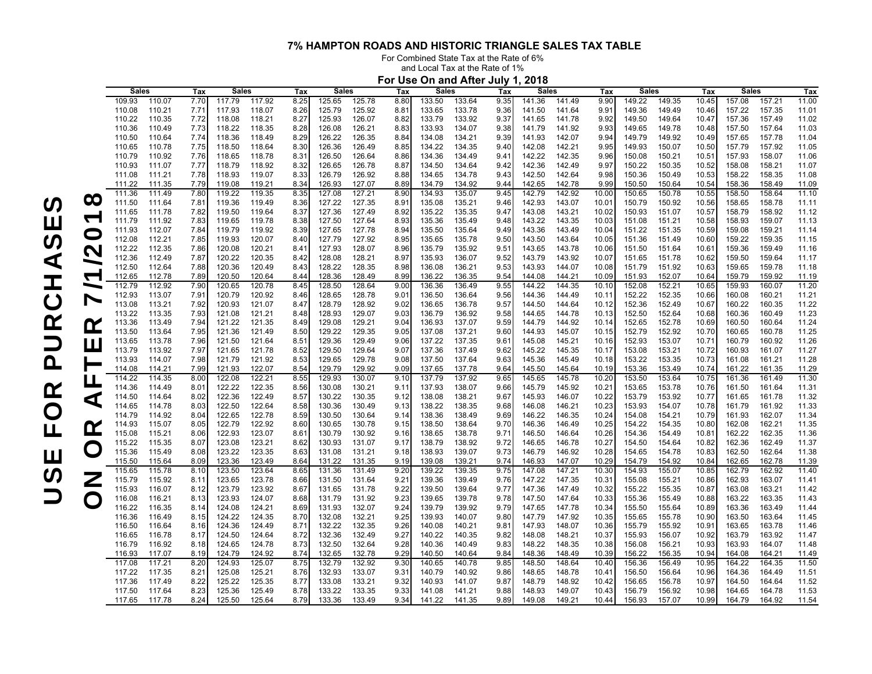For Combined State Tax at the Rate of 6%

and Local Tax at the Rate of 1%

|                          | For Use On and After July 1, 2018 |                  |              |                  |                  |              |                  |                  |              |                  |                  |                       |                  |                  |                |                  |                  |                   |                  |                  |                |
|--------------------------|-----------------------------------|------------------|--------------|------------------|------------------|--------------|------------------|------------------|--------------|------------------|------------------|-----------------------|------------------|------------------|----------------|------------------|------------------|-------------------|------------------|------------------|----------------|
|                          | <b>Sales</b>                      |                  | Tax          | <b>Sales</b>     |                  | Tax          | <b>Sales</b>     |                  | Tax          | <b>Sales</b>     |                  | Tax                   | <b>Sales</b>     |                  | Tax            | Sales            |                  | Tax               | <b>Sales</b>     |                  | Tax            |
|                          | 109.93                            | 110.07           | 7.70         | 117.79           | 117.92           | 8.25         | 125.65           | 125.78           | 8.80         | 133.50           | 133.64           | 9.35                  | 141.36           | 141.49           | 9.90           | 149.22           | 149.35           | 10.45             | 157.08           | 157.21           | 11.00          |
|                          | 110.08                            | 110.21           | 7.71         | 117.93           | 118.07           | 8.26         | 125.79           | 125.92           | 8.81         | 133.65           | 133.78           | 9.36                  | 141.50           | 141.64           | 9.91           | 149.36           | 149.49           | 10.46             | 157.22           | 157.35           | 11.01          |
|                          | 110.22                            | 110.35           | 7.72         | 118.08           | 118.21           | 8.27         | 125.93           | 126.07           | 8.82         | 133.79           | 133.92           | 9.37                  | 141.65           | 141.78           | 9.92           | 149.50           | 149.64           | 10.47             | 157.36           | 157.49           | 11.02          |
|                          | 110.36                            | 110.49           | 7.73         | 118.22           | 118.35           | 8.28         | 126.08           | 126.21           | 8.83         | 133.93           | 134.07           | 9.38                  | 141.79           | 141.92           | 9.93           | 149.65           | 149.78           | 10.48             | 157.50           | 157.64           | 11.03          |
|                          | 110.50                            | 110.64           | 7.74         | 118.36           | 118.49           | 8.29         | 126.22           | 126.35           | 8.84         | 134.08           | 134.21           | 9.39                  | 141.93           | 142.07           | 9.94           | 149.79           | 149.92           | 10.49             | 157.65           | 157.78           | 11.04          |
|                          | 110.65                            | 110.78           | 7.75         | 118.50           | 118.64           | 8.30         | 126.36           | 126.49           | 8.85         | 134.22           | 134.35           | 9.40                  | 142.08           | 142.21           | 9.95           | 149.93           | 150.07           | 10.50             | 157.79           | 157.92           | 11.05          |
|                          | 110.79<br>110.93                  | 110.92<br>111.07 | 7.76<br>7.77 | 118.65<br>118.79 | 118.78<br>118.92 | 8.31         | 126.50<br>126.65 | 126.64<br>126.78 | 8.86<br>8.87 | 134.36<br>134.50 | 134.49<br>134.64 | 9.41<br>9.42          | 142.22<br>142.36 | 142.35<br>142.49 | 9.96<br>9.97   | 150.08<br>150.22 | 150.21<br>150.35 | 10.51<br>10.52    | 157.93<br>158.08 | 158.07<br>158.21 | 11.06<br>11.07 |
|                          | 111.08                            | 111.21           | 7.78         | 118.93           | 119.07           | 8.32<br>8.33 | 126.79           | 126.92           | 8.88         | 134.65           | 134.78           | 9.43                  | 142.50           | 142.64           | 9.98           | 150.36           | 150.49           | 10.53             | 158.22           | 158.35           | 11.08          |
|                          | 111.22                            | 111.35           | 7.79         | 119.08           | 119.21           | 8.34         | 126.93           | 127.07           | 8.89         | 134.79           | 134.92           | 9.44                  | 142.65           | 142.78           | 9.99           | 150.50           | 150.64           | 10.54             | 158.36           | 158.49           | 11.09          |
|                          | 111.36                            | 111.49           | 7.80         | 119.22           | 119.35           | 8.35         | 127.08           | 127.21           | 8.90         | 134.93           | 135.07           | 9.45                  | 142.79           | 142.92           | 10.00          | 150.65           | 150.78           | 10.55             | 158.50           | 158.64           | 11.10          |
| $\infty$                 | 111.50                            | 111.64           | 7.81         | 119.36           | 119.49           | 8.36         | 127.22           | 127.35           | 8.91         | 135.08           | 135.21           | 9.46                  | 142.93           | 143.07           | 10.01          | 150.79           | 150.92           | 10.56             | 158.65           | 158.78           | 11.11          |
|                          | 111.65                            | 111.78           | 7.82         | 119.50           | 119.64           | 8.37         | 127.36           | 127.49           | 8.92         | 135.22           | 135.35           | 9.47                  | 143.08           | 143.21           | 10.02          | 150.93           | 151.07           | 10.57             | 158.79           | 158.92           | 11.12          |
| $\tau$                   | 111.79                            | 111.92           | 7.83         | 119.65           | 119.78           | 8.38         | 127.50           | 127.64           | 8.93         | 135.36           | 135.49           | 9.48                  | 143.22           | 143.35           | 10.03          | 151.08           | 151.21           | 10.58             | 158.93           | 159.07           | 11.13          |
|                          | 111.93                            | 112.07           | 7.84         | 119.79           | 119.92           | 8.39         | 127.65           | 127.78           | 8.94         | 135.50           | 135.64           | 9.49                  | 143.36           | 143.49           | 10.04          | 151.22           | 151.35           | 10.59             | 159.08           | 159.21           | 11.14          |
|                          | 112.08                            | 112.21           | 7.85         | 119.93           | 120.07           | 8.40         | 127.79           | 127.92           | 8.95         | 135.65           | 135.78           | 9.50                  | 143.50           | 143.64           | 10.05          | 151.36           | 151.49           | 10.60             | 159.22           | 159.35           | 11.15          |
| $\bigcap$                | 112.22                            | 112.35           | 7.86         | 120.08           | 120.21           | 8.41         | 127.93           | 128.07           | 8.96         | 135.79           | 135.92           | 9.51                  | 143.65           | 143.78           | 10.06          | 151.50           | 151.64           | 10.61             | 159.36           | 159.49           | 11.16          |
|                          | 112.36                            | 112.49           | 7.87         | 120.22           | 120.35           | 8.42         | 128.08           | 128.21           | 8.97         | 135.93           | 136.07           | 9.52                  | 143.79           | 143.92           | 10.07          | 151.65           | 151.78           | 10.62             | 159.50           | 159.64           | 11.17          |
|                          | 112.50                            | 112.64           | 7.88         | 120.36           | 120.49           | 8.43         | 128.22           | 128.35           | 8.98         | 136.08           | 136.21           | 9.53                  | 143.93           | 144.07           | 10.08          | 151.79           | 151.92           | 10.63             | 159.65           | 159.78           | 11.18          |
| $\sqrt{ }$               | 112.65                            | 112.78           | 7.89         | 120.50           | 120.64           | 8.44         | 128.36           | 128.49           | 8.99         | 136.22           | 136.35           | 9.54                  | 144.08           | 144.21           | 10.09          | 151.93           | 152.07           | 10.64             | 159.79           | 159.92           | 11.19          |
| $\overline{\phantom{0}}$ | 112.79                            | 112.92           | 7.90         | 120.65           | 120.78           | 8.45         | 128.50           | 128.64           | 9.00         | 136.36           | 136.49           | 9.55                  | 144.22           | 144.35           | 10.10          | 152.08           | 152.21           | 10.65             | 159.93           | 160.07           | 11.20          |
| $\overline{\phantom{0}}$ | 112.93                            | 113.07           | 7.91         | 120.79           | 120.92           | 8.46         | 128.65           | 128.78           | 9.01         | 136.50           | 136.64           | 9.56                  | 144.36           | 144.49           | 10.11          | 152.22           | 152.35           | 10.66             | 160.08           | 160.21           | 11.21          |
|                          | 113.08                            | 113.21           | 7.92         | 120.93           | 121.07           | 8.47         | 128.79           | 128.92           | 9.02         | 136.65           | 136.78           | 9.57                  | 144.50           | 144.64           | 10.12          | 152.36           | 152.49           | 10.67             | 160.22           | 160.35           | 11.22          |
|                          | 113.22                            | 113.35           | 7.93         | 121.08           | 121.21           | 8.48         | 128.93           | 129.07           | 9.03         | 136.79           | 136.92           | 9.58                  | 144.65           | 144.78           | 10.13          | 152.50           | 152.64           | 10.68             | 160.36           | 160.49           | 11.23          |
| $\alpha$                 | 113.36                            | 113.49           | 7.94         | 121.22           | 121.35           | 8.49         | 129.08           | 129.21           | 9.04         | 136.93           | 137.07           | 9.59                  | 144.79           | 144.92           | 10.14          | 152.65           | 152.78           | 10.69             | 160.50           | 160.64           | 11.24          |
|                          | 113.50<br>113.65                  | 113.64<br>113.78 | 7.95<br>7.96 | 121.36<br>121.50 | 121.49<br>121.64 | 8.50<br>8.51 | 129.22<br>129.36 | 129.35<br>129.49 | 9.05<br>9.06 | 137.08<br>137.22 | 137.21<br>137.35 | 9.60<br>$9.6^{\circ}$ | 144.93<br>145.08 | 145.07<br>145.21 | 10.15<br>10.16 | 152.79<br>152.93 | 152.92<br>153.07 | 10.70<br>10.71    | 160.65<br>160.79 | 160.78<br>160.92 | 11.25<br>11.26 |
| <u>Ц.</u>                | 113.79                            | 113.92           | 7.97         | 121.65           | 121.78           | 8.52         | 129.50           | 129.64           | 9.07         | 137.36           | 137.49           | 9.62                  | 145.22           | 145.35           | 10.17          | 153.08           | 153.21           | 10.72             | 160.93           | 161.07           | 11.27          |
|                          | 113.93                            | 114.07           | 7.98         | 121.79           | 121.92           | 8.53         | 129.65           | 129.78           | 9.08         | 137.50           | 137.64           | 9.63                  | 145.36           | 145.49           | 10.18          | 153.22           | 153.35           | 10.73             | 161.08           | 161.21           | 11.28          |
|                          | 114.08                            | 114.21           | 7.99         | 121.93           | 122.07           | 8.54         | 129.79           | 129.92           | 9.09         | 137.65           | 137.78           | 9.64                  | 145.50           | 145.64           | 10.19          | 153.36           | 153.49           | 10.74             | 161.22           | 161.35           | 11.29          |
| Щ                        | 114.22                            | 114.35           | 8.00         | 122.08           | 122.21           | 8.55         | 129.93           | 130.07           | 9.10         | 137.79           | 137.92           | 9.65                  | 145.65           | 145.78           | 10.20          | 153.50           | 153.64           | 10.75             | 161.36           | 161.49           | 11.30          |
|                          | 114.36                            | 114.49           | 8.01         | 122.22           | 122.35           | 8.56         | 130.08           | 130.21           | 9.11         | 137.93           | 138.07           | 9.66                  | 145.79           | 145.92           | 10.21          | 153.65           | 153.78           | 10.76             | 161.50           | 161.64           | 11.31          |
| ◁                        | 114.50                            | 114.64           | 8.02         | 122.36           | 122.49           | 8.57         | 130.22           | 130.35           | 9.12         | 138.08           | 138.21           | 9.67                  | 145.93           | 146.07           | 10.22          | 153.79           | 153.92           | 10.77             | 161.65           | 161.78           | 11.32          |
|                          | 114.65                            | 114.78           | 8.03         | 122.50           | 122.64           | 8.58         | 130.36           | 130.49           | 9.13         | 138.22           | 138.35           | 9.68                  | 146.08           | 146.21           | 10.23          | 153.93           | 154.07           | 10.78             | 161.79           | 161.92           | 11.33          |
|                          | 114.79                            | 114.92           | 8.04         | 122.65           | 122.78           | 8.59         | 130.50           | 130.64           | 9.14         | 138.36           | 138.49           | 9.69                  | 146.22           | 146.35           | 10.24          | 154.08           | 154.21           | 10.79             | 161.93           | 162.07           | 11.34          |
| $\alpha$                 | 114.93                            | 115.07           | 8.05         | 122.79           | 122.92           | 8.60         | 130.65           | 130.78           | 9.15         | 138.50           | 138.64           | 9.70                  | 146.36           | 146.49           | 10.25          | 154.22           | 154.35           | 10.80             | 162.08           | 162.21           | 11.35          |
|                          | 115.08                            | 115.21           | 8.06         | 122.93           | 123.07           | 8.61         | 130.79           | 130.92           | 9.16         | 138.65           | 138.78           | 9.71                  | 146.50           | 146.64           | 10.26          | 154.36           | 154.49           | 10.81             | 162.22           | 162.35           | 11.36          |
|                          | 115.22                            | 115.35           | 8.07         | 123.08           | 123.21           | 8.62         | 130.93           | 131.07           | 9.17         | 138.79           | 138.92           | 9.72                  | 146.65           | 146.78           | 10.27          | 154.50           | 154.64           | 10.82             | 162.36           | 162.49           | 11.37          |
|                          | 115.36                            | 115.49           | 8.08         | 123.22           | 123.35           | 8.63         | 131.08           | 131.21           | 9.18         | 138.93           | 139.07           | 9.73                  | 146.79           | 146.92           | 10.28          | 154.65           | 154.78           | 10.83             | 162.50           | 162.64           | 11.38          |
|                          | 115.50<br>115.65                  | 115.64<br>115.78 | 8.09<br>8.10 | 123.36<br>123.50 | 123.49<br>123.64 | 8.64<br>8.65 | 131.22<br>131.36 | 131.35<br>131.49 | 9.19<br>9.2C | 139.08<br>139.22 | 139.21<br>139.35 | 9.74<br>9.75          | 146.93<br>147.08 | 147.07<br>147.21 | 10.29<br>10.30 | 154.79<br>154.93 | 154.92<br>155.07 | 10.84<br>10.85    | 162.65<br>162.79 | 162.78<br>162.92 | 11.39<br>11.40 |
|                          | 115.79                            | 115.92           | 8.11         | 123.65           | 123.78           | 8.66         | 131.50           | 131.64           | 9.21         | 139.36           | 139.49           | 9.76                  | 147.22           | 147.35           | 10.31          | 155.08           | 155.21           | 10.86             | 162.93           | 163.07           | 11.41          |
|                          | 115.93                            | 116.07           | 8.12         | 123.79           | 123.92           | 8.67         | 131.65           | 131.78           | 9.22         | 139.50           | 139.64           | 9.77                  | 147.36           | 147.49           | 10.32          | 155.22           | 155.35           | 10.87             | 163.08           | 163.21           | 11.42          |
|                          | 116.08                            | 116.21           | 8.13         | 123.93           | 124.07           | 8.68         | 131.79           | 131.92           | 9.23         | 139.65           | 139.78           | 9.78                  | 147.50           | 147.64           | 10.33          | 155.36           | 155.49           | 10.88             | 163.22           | 163.35           | 11.43          |
| $\mathsf{C}$             | 116.22                            | 116.35           | 8.14         | 124.08           | 124.21           | 8.69         | 131.93           | 132.07           | 9.24         | 139.79           | 139.92           | 9.79                  | 147.65           | 147.78           | 10.34          | 155.50           | 155.64           | 10.89             | 163.36           | 163.49           | 11.44          |
|                          | 116.36                            | 116.49           | 8.15         | 124.22           | 124.35           | 8.70         | 132.08           | 132.21           | 9.25         | 139.93           | 140.07           | 9.80                  | 147.79           | 147.92           | 10.35          | 155.65           | 155.78           | 10.90             | 163.50           | 163.64           | 11.45          |
|                          | 116.50                            | 116.64           | 8.16         | 124.36           | 124.49           | 8.71         | 132.22           | 132.35           | 9.26         | 140.08           | 140.21           | $9.8^{\circ}$         | 147.93           | 148.07           | 10.36          | 155.79           | 155.92           | 10.9 <sup>°</sup> | 163.65           | 163.78           | 11.46          |
|                          | 116.65                            | 116.78           | 8.17         | 124.50           | 124.64           | 8.72         | 132.36           | 132.49           | 9.27         | 140.22           | 140.35           | 9.82                  | 148.08           | 148.21           | 10.37          | 155.93           | 156.07           | 10.92             | 163.79           | 163.92           | 11.47          |
|                          | 116.79                            | 116.92           | 8.18         | 124.65           | 124.78           | 8.73         | 132.50           | 132.64           | 9.28         | 140.36           | 140.49           | 9.83                  | 148.22           | 148.35           | 10.38          | 156.08           | 156.21           | 10.93             | 163.93           | 164.07           | 11.48          |
|                          | 116.93                            | 117.07           | 8.19         | 124.79           | 124.92           | 8.74         | 132.65           | 132.78           | 9.29         | 140.50           | 140.64           | 9.84                  | 148.36           | 148.49           | 10.39          | 156.22           | 156.35           | 10.94             | 164.08           | 164.21           | 11.49          |
|                          | 117.08                            | 117.21           | 8.20         | 124.93           | 125.07           | 8.75         | 132.79           | 132.92           | 9.30         | 140.65           | 140.78           | 9.85                  | 148.50           | 148.64           | 10.40          | 156.36           | 156.49           | 10.95             | 164.22           | 164.35           | 11.50          |
|                          | 117.22                            | 117.35           | 8.21         | 125.08           | 125.21           | 8.76         | 132.93           | 133.07           | 9.31         | 140.79           | 140.92           | 9.86                  | 148.65           | 148.78           | 10.41          | 156.50           | 156.64           | 10.96             | 164.36           | 164.49           | 11.51          |
|                          | 117.36                            | 117.49           | 8.22         | 125.22           | 125.35           | 8.77         | 133.08           | 133.21           | 9.32         | 140.93           | 141.07           | 9.87                  | 148.79           | 148.92           | 10.42          | 156.65           | 156.78           | 10.97             | 164.50           | 164.64           | 11.52          |
|                          | 117.50                            | 117.64           | 8.23         | 125.36           | 125.49           | 8.78         | 133.22           | 133.35           | 9.33         | 141.08           | 141.21           | 9.88                  | 148.93           | 149.07           | 10.43          | 156.79           | 156.92           | 10.98             | 164.65           | 164.78           | 11.53          |
|                          | 117.65                            | 117.78           | 8.24         | 125.50           | 125.64           | 8.79         | 133.36           | 133.49           | 9.34         | 141.22           | 141.35           | 9.89                  | 149.08           | 149.21           | 10.44          | 156.93           | 157.07           | 10.99             | 164.79           | 164.92           | 11.54          |

USE FOR PURCHASES USE FOR PURCHASES